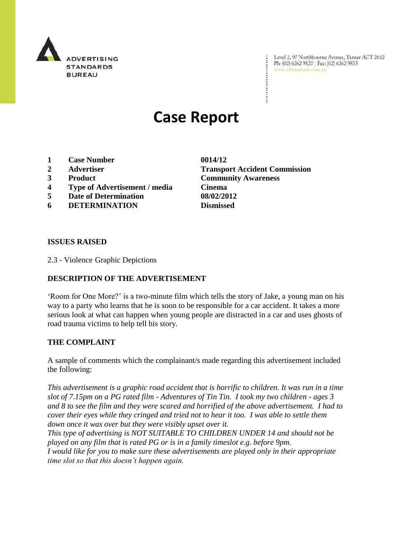

Level 2, 97 Northbourne Avenue, Turner ACT 2612 Level 2, 97 Northbourne Avenue, Turne<br>Ph: (02) 6262 9822 | Fax: (02) 6262 9833 www.adstandards.com.au

# **Case Report**

- **1 Case Number 0014/12**
- 
- 
- **4 Type of Advertisement / media Cinema**
- **5 Date of Determination 08/02/2012**
- **6 DETERMINATION Dismissed**

**2 Advertiser Transport Accident Commission 3 Product Community Awareness**

### **ISSUES RAISED**

2.3 - Violence Graphic Depictions

## **DESCRIPTION OF THE ADVERTISEMENT**

"Room for One More?" is a two-minute film which tells the story of Jake, a young man on his way to a party who learns that he is soon to be responsible for a car accident. It takes a more serious look at what can happen when young people are distracted in a car and uses ghosts of road trauma victims to help tell his story.

#### **THE COMPLAINT**

A sample of comments which the complainant/s made regarding this advertisement included the following:

*This advertisement is a graphic road accident that is horrific to children. It was run in a time slot of 7.15pm on a PG rated film - Adventures of Tin Tin. I took my two children - ages 3 and 8 to see the film and they were scared and horrified of the above advertisement. I had to cover their eyes while they cringed and tried not to hear it too. I was able to settle them down once it was over but they were visibly upset over it.*

*This type of advertising is NOT SUITABLE TO CHILDREN UNDER 14 and should not be played on any film that is rated PG or is in a family timeslot e.g. before 9pm. I would like for you to make sure these advertisements are played only in their appropriate time slot so that this doesn"t happen again.*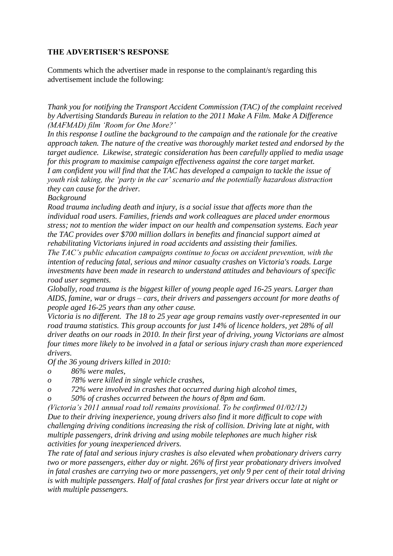## **THE ADVERTISER'S RESPONSE**

Comments which the advertiser made in response to the complainant/s regarding this advertisement include the following:

*Thank you for notifying the Transport Accident Commission (TAC) of the complaint received by Advertising Standards Bureau in relation to the 2011 Make A Film. Make A Difference (MAFMAD) film "Room for One More?"*

*In this response I outline the background to the campaign and the rationale for the creative approach taken. The nature of the creative was thoroughly market tested and endorsed by the target audience. Likewise, strategic consideration has been carefully applied to media usage for this program to maximise campaign effectiveness against the core target market. I am confident you will find that the TAC has developed a campaign to tackle the issue of youth risk taking, the "party in the car" scenario and the potentially hazardous distraction they can cause for the driver.* 

*Background*

*Road trauma including death and injury, is a social issue that affects more than the individual road users. Families, friends and work colleagues are placed under enormous stress; not to mention the wider impact on our health and compensation systems. Each year the TAC provides over \$700 million dollars in benefits and financial support aimed at rehabilitating Victorians injured in road accidents and assisting their families.* 

*The TAC"s public education campaigns continue to focus on accident prevention, with the intention of reducing fatal, serious and minor casualty crashes on Victoria's roads. Large investments have been made in research to understand attitudes and behaviours of specific road user segments.* 

*Globally, road trauma is the biggest killer of young people aged 16-25 years. Larger than AIDS, famine, war or drugs – cars, their drivers and passengers account for more deaths of people aged 16-25 years than any other cause.*

*Victoria is no different. The 18 to 25 year age group remains vastly over-represented in our road trauma statistics. This group accounts for just 14% of licence holders, yet 28% of all driver deaths on our roads in 2010. In their first year of driving, young Victorians are almost four times more likely to be involved in a fatal or serious injury crash than more experienced drivers.*

*Of the 36 young drivers killed in 2010:*

- *o 86% were males,*
- *o 78% were killed in single vehicle crashes,*
- *o 72% were involved in crashes that occurred during high alcohol times,*

*o 50% of crashes occurred between the hours of 8pm and 6am.* 

*(Victoria"s 2011 annual road toll remains provisional. To be confirmed 01/02/12) Due to their driving inexperience, young drivers also find it more difficult to cope with challenging driving conditions increasing the risk of collision. Driving late at night, with multiple passengers, drink driving and using mobile telephones are much higher risk activities for young inexperienced drivers.* 

*The rate of fatal and serious injury crashes is also elevated when probationary drivers carry two or more passengers, either day or night. 26% of first year probationary drivers involved in fatal crashes are carrying two or more passengers, yet only 9 per cent of their total driving is with multiple passengers. Half of fatal crashes for first year drivers occur late at night or with multiple passengers.*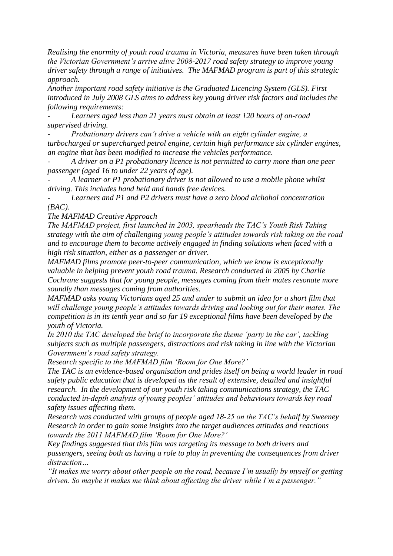*Realising the enormity of youth road trauma in Victoria, measures have been taken through the Victorian Government"s arrive alive 2008-2017 road safety strategy to improve young driver safety through a range of initiatives. The MAFMAD program is part of this strategic approach.*

*Another important road safety initiative is the Graduated Licencing System (GLS). First introduced in July 2008 GLS aims to address key young driver risk factors and includes the following requirements:*

*- Learners aged less than 21 years must obtain at least 120 hours of on-road supervised driving.*

*- Probationary drivers can"t drive a vehicle with an eight cylinder engine, a turbocharged or supercharged petrol engine, certain high performance six cylinder engines, an engine that has been modified to increase the vehicles performance.* 

*- A driver on a P1 probationary licence is not permitted to carry more than one peer passenger (aged 16 to under 22 years of age).* 

*- A learner or P1 probationary driver is not allowed to use a mobile phone whilst driving. This includes hand held and hands free devices.* 

*- Learners and P1 and P2 drivers must have a zero blood alchohol concentration (BAC).* 

*The MAFMAD Creative Approach* 

*The MAFMAD project, first launched in 2003, spearheads the TAC"s Youth Risk Taking strategy with the aim of challenging young people"s attitudes towards risk taking on the road and to encourage them to become actively engaged in finding solutions when faced with a high risk situation, either as a passenger or driver.* 

*MAFMAD films promote peer-to-peer communication, which we know is exceptionally valuable in helping prevent youth road trauma. Research conducted in 2005 by Charlie Cochrane suggests that for young people, messages coming from their mates resonate more soundly than messages coming from authorities.* 

*MAFMAD asks young Victorians aged 25 and under to submit an idea for a short film that will challenge young people"s attitudes towards driving and looking out for their mates. The competition is in its tenth year and so far 19 exceptional films have been developed by the youth of Victoria.* 

*In 2010 the TAC developed the brief to incorporate the theme "party in the car", tackling subjects such as multiple passengers, distractions and risk taking in line with the Victorian Government"s road safety strategy.* 

*Research specific to the MAFMAD film "Room for One More?"*

*The TAC is an evidence-based organisation and prides itself on being a world leader in road safety public education that is developed as the result of extensive, detailed and insightful research. In the development of our youth risk taking communications strategy, the TAC conducted in-depth analysis of young peoples" attitudes and behaviours towards key road safety issues affecting them.*

*Research was conducted with groups of people aged 18-25 on the TAC"s behalf by Sweeney Research in order to gain some insights into the target audiences attitudes and reactions towards the 2011 MAFMAD film "Room for One More?"* 

*Key findings suggested that this film was targeting its message to both drivers and passengers, seeing both as having a role to play in preventing the consequences from driver distraction…*

*"It makes me worry about other people on the road, because I"m usually by myself or getting driven. So maybe it makes me think about affecting the driver while I"m a passenger."*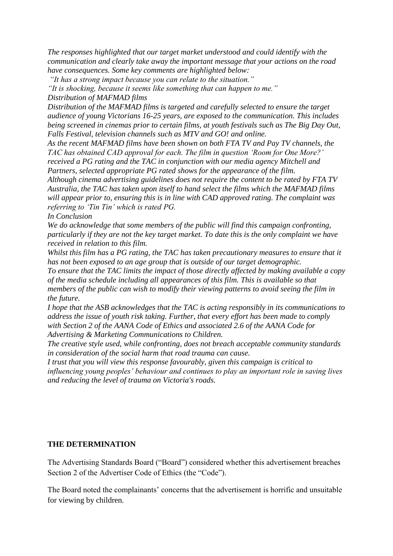*The responses highlighted that our target market understood and could identify with the communication and clearly take away the important message that your actions on the road have consequences. Some key comments are highlighted below:* 

*"It has a strong impact because you can relate to the situation."* 

*"It is shocking, because it seems like something that can happen to me." Distribution of MAFMAD films*

*Distribution of the MAFMAD films is targeted and carefully selected to ensure the target audience of young Victorians 16-25 years, are exposed to the communication. This includes being screened in cinemas prior to certain films, at youth festivals such as The Big Day Out, Falls Festival, television channels such as MTV and GO! and online.*

*As the recent MAFMAD films have been shown on both FTA TV and Pay TV channels, the TAC has obtained CAD approval for each. The film in question "Room for One More?" received a PG rating and the TAC in conjunction with our media agency Mitchell and Partners, selected appropriate PG rated shows for the appearance of the film.* 

*Although cinema advertising guidelines does not require the content to be rated by FTA TV Australia, the TAC has taken upon itself to hand select the films which the MAFMAD films will appear prior to, ensuring this is in line with CAD approved rating. The complaint was referring to "Tin Tin" which is rated PG.*

*In Conclusion*

*We do acknowledge that some members of the public will find this campaign confronting, particularly if they are not the key target market. To date this is the only complaint we have received in relation to this film.*

*Whilst this film has a PG rating, the TAC has taken precautionary measures to ensure that it has not been exposed to an age group that is outside of our target demographic.* 

*To ensure that the TAC limits the impact of those directly affected by making available a copy of the media schedule including all appearances of this film. This is available so that members of the public can wish to modify their viewing patterns to avoid seeing the film in the future.* 

*I hope that the ASB acknowledges that the TAC is acting responsibly in its communications to address the issue of youth risk taking. Further, that every effort has been made to comply with Section 2 of the AANA Code of Ethics and associated 2.6 of the AANA Code for Advertising & Marketing Communications to Children.*

*The creative style used, while confronting, does not breach acceptable community standards in consideration of the social harm that road trauma can cause.*

*I trust that you will view this response favourably, given this campaign is critical to influencing young peoples" behaviour and continues to play an important role in saving lives and reducing the level of trauma on Victoria's roads.* 

## **THE DETERMINATION**

The Advertising Standards Board ("Board") considered whether this advertisement breaches Section 2 of the Advertiser Code of Ethics (the "Code").

The Board noted the complainants' concerns that the advertisement is horrific and unsuitable for viewing by children.